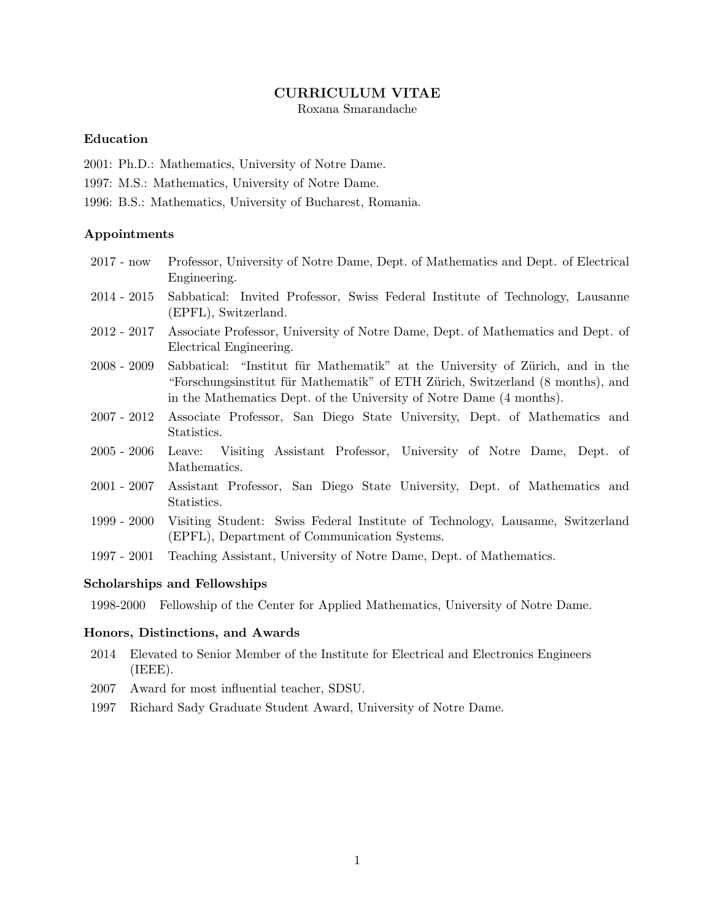## CURRICULUM VITAE

Roxana Smarandache

## Education

- 2001: Ph.D.: Mathematics, University of Notre Dame.
- 1997: M.S.: Mathematics, University of Notre Dame.
- 1996: B.S.: Mathematics, University of Bucharest, Romania.

#### Appointments

- 2017 now Professor, University of Notre Dame, Dept. of Mathematics and Dept. of Electrical Engineering.
- 2014 2015 Sabbatical: Invited Professor, Swiss Federal Institute of Technology, Lausanne (EPFL), Switzerland.
- 2012 2017 Associate Professor, University of Notre Dame, Dept. of Mathematics and Dept. of Electrical Engineering.
- 2008 2009 Sabbatical: "Institut für Mathematik" at the University of Zürich, and in the "Forschungsinstitut für Mathematik" of ETH Zürich, Switzerland (8 months), and in the Mathematics Dept. of the University of Notre Dame (4 months).
- 2007 2012 Associate Professor, San Diego State University, Dept. of Mathematics and Statistics.
- 2005 2006 Leave: Visiting Assistant Professor, University of Notre Dame, Dept. of Mathematics.
- 2001 2007 Assistant Professor, San Diego State University, Dept. of Mathematics and Statistics.
- 1999 2000 Visiting Student: Swiss Federal Institute of Technology, Lausanne, Switzerland (EPFL), Department of Communication Systems.
- 1997 2001 Teaching Assistant, University of Notre Dame, Dept. of Mathematics.

#### Scholarships and Fellowships

1998-2000 Fellowship of the Center for Applied Mathematics, University of Notre Dame.

### Honors, Distinctions, and Awards

- 2014 Elevated to Senior Member of the Institute for Electrical and Electronics Engineers (IEEE).
- 2007 Award for most influential teacher, SDSU.
- 1997 Richard Sady Graduate Student Award, University of Notre Dame.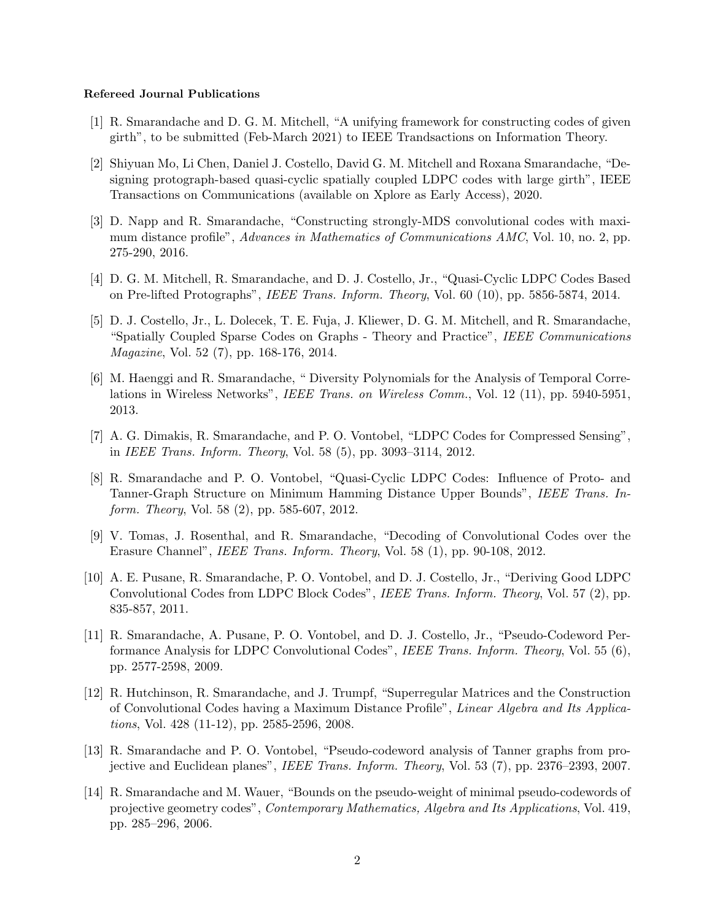#### Refereed Journal Publications

- [1] R. Smarandache and D. G. M. Mitchell, "A unifying framework for constructing codes of given girth", to be submitted (Feb-March 2021) to IEEE Trandsactions on Information Theory.
- [2] Shiyuan Mo, Li Chen, Daniel J. Costello, David G. M. Mitchell and Roxana Smarandache, "Designing protograph-based quasi-cyclic spatially coupled LDPC codes with large girth", IEEE Transactions on Communications (available on Xplore as Early Access), 2020.
- [3] D. Napp and R. Smarandache, "Constructing strongly-MDS convolutional codes with maximum distance profile", Advances in Mathematics of Communications AMC, Vol. 10, no. 2, pp. 275-290, 2016.
- [4] D. G. M. Mitchell, R. Smarandache, and D. J. Costello, Jr., "Quasi-Cyclic LDPC Codes Based on Pre-lifted Protographs", IEEE Trans. Inform. Theory, Vol. 60 (10), pp. 5856-5874, 2014.
- [5] D. J. Costello, Jr., L. Dolecek, T. E. Fuja, J. Kliewer, D. G. M. Mitchell, and R. Smarandache, "Spatially Coupled Sparse Codes on Graphs - Theory and Practice", IEEE Communications Magazine, Vol. 52 (7), pp. 168-176, 2014.
- [6] M. Haenggi and R. Smarandache, " Diversity Polynomials for the Analysis of Temporal Correlations in Wireless Networks", IEEE Trans. on Wireless Comm., Vol. 12 (11), pp. 5940-5951, 2013.
- [7] A. G. Dimakis, R. Smarandache, and P. O. Vontobel, "LDPC Codes for Compressed Sensing", in IEEE Trans. Inform. Theory, Vol. 58 (5), pp. 3093–3114, 2012.
- [8] R. Smarandache and P. O. Vontobel, "Quasi-Cyclic LDPC Codes: Influence of Proto- and Tanner-Graph Structure on Minimum Hamming Distance Upper Bounds", IEEE Trans. Inform. Theory, Vol. 58 (2), pp. 585-607, 2012.
- [9] V. Tomas, J. Rosenthal, and R. Smarandache, "Decoding of Convolutional Codes over the Erasure Channel", IEEE Trans. Inform. Theory, Vol. 58 (1), pp. 90-108, 2012.
- [10] A. E. Pusane, R. Smarandache, P. O. Vontobel, and D. J. Costello, Jr., "Deriving Good LDPC Convolutional Codes from LDPC Block Codes", IEEE Trans. Inform. Theory, Vol. 57 (2), pp. 835-857, 2011.
- [11] R. Smarandache, A. Pusane, P. O. Vontobel, and D. J. Costello, Jr., "Pseudo-Codeword Performance Analysis for LDPC Convolutional Codes", IEEE Trans. Inform. Theory, Vol. 55 (6), pp. 2577-2598, 2009.
- [12] R. Hutchinson, R. Smarandache, and J. Trumpf, "Superregular Matrices and the Construction of Convolutional Codes having a Maximum Distance Profile", Linear Algebra and Its Applications, Vol. 428 (11-12), pp. 2585-2596, 2008.
- [13] R. Smarandache and P. O. Vontobel, "Pseudo-codeword analysis of Tanner graphs from projective and Euclidean planes", IEEE Trans. Inform. Theory, Vol. 53 (7), pp. 2376–2393, 2007.
- [14] R. Smarandache and M. Wauer, "Bounds on the pseudo-weight of minimal pseudo-codewords of projective geometry codes", Contemporary Mathematics, Algebra and Its Applications, Vol. 419, pp. 285–296, 2006.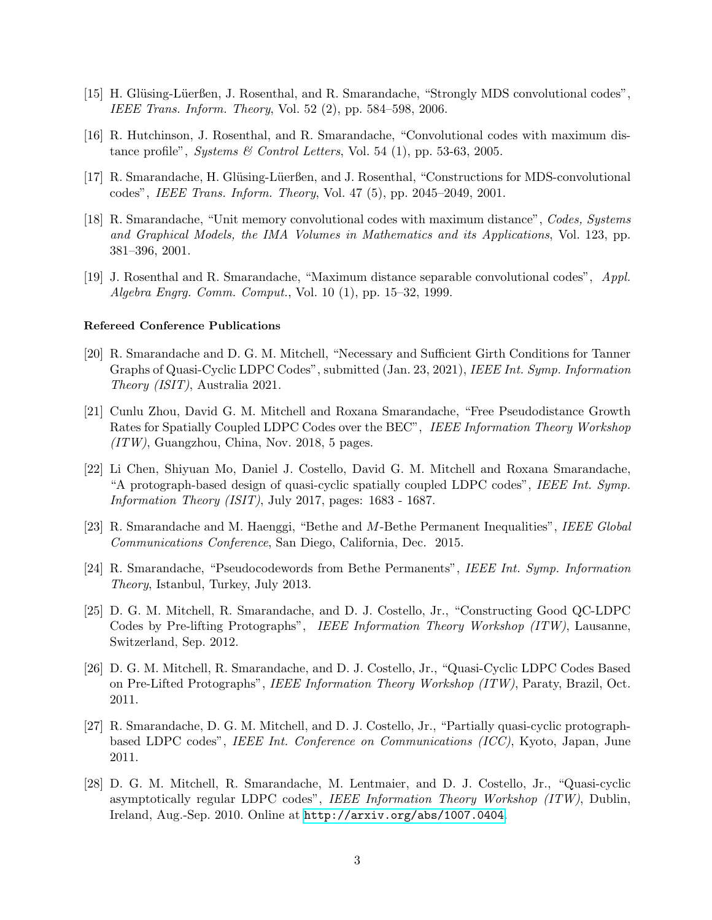- [15] H. Glüsing-Lüerßen, J. Rosenthal, and R. Smarandache, "Strongly MDS convolutional codes", IEEE Trans. Inform. Theory, Vol. 52 (2), pp. 584–598, 2006.
- [16] R. Hutchinson, J. Rosenthal, and R. Smarandache, "Convolutional codes with maximum distance profile", *Systems & Control Letters*, Vol. 54 (1), pp. 53-63, 2005.
- [17] R. Smarandache, H. Glüsing-Lüerßen, and J. Rosenthal, "Constructions for MDS-convolutional codes", IEEE Trans. Inform. Theory, Vol. 47 (5), pp. 2045–2049, 2001.
- [18] R. Smarandache, "Unit memory convolutional codes with maximum distance", Codes, Systems and Graphical Models, the IMA Volumes in Mathematics and its Applications, Vol. 123, pp. 381–396, 2001.
- [19] J. Rosenthal and R. Smarandache, "Maximum distance separable convolutional codes", Appl. Algebra Engrg. Comm. Comput., Vol. 10 (1), pp. 15–32, 1999.

#### Refereed Conference Publications

- [20] R. Smarandache and D. G. M. Mitchell, "Necessary and Sufficient Girth Conditions for Tanner Graphs of Quasi-Cyclic LDPC Codes", submitted (Jan. 23, 2021), IEEE Int. Symp. Information Theory (ISIT), Australia 2021.
- [21] Cunlu Zhou, David G. M. Mitchell and Roxana Smarandache, "Free Pseudodistance Growth Rates for Spatially Coupled LDPC Codes over the BEC", IEEE Information Theory Workshop (ITW), Guangzhou, China, Nov. 2018, 5 pages.
- [22] Li Chen, Shiyuan Mo, Daniel J. Costello, David G. M. Mitchell and Roxana Smarandache, "A protograph-based design of quasi-cyclic spatially coupled LDPC codes", IEEE Int. Symp. Information Theory (ISIT), July 2017, pages: 1683 - 1687.
- [23] R. Smarandache and M. Haenggi, "Bethe and M-Bethe Permanent Inequalities", IEEE Global Communications Conference, San Diego, California, Dec. 2015.
- [24] R. Smarandache, "Pseudocodewords from Bethe Permanents", IEEE Int. Symp. Information Theory, Istanbul, Turkey, July 2013.
- [25] D. G. M. Mitchell, R. Smarandache, and D. J. Costello, Jr., "Constructing Good QC-LDPC Codes by Pre-lifting Protographs", IEEE Information Theory Workshop (ITW), Lausanne, Switzerland, Sep. 2012.
- [26] D. G. M. Mitchell, R. Smarandache, and D. J. Costello, Jr., "Quasi-Cyclic LDPC Codes Based on Pre-Lifted Protographs", IEEE Information Theory Workshop (ITW), Paraty, Brazil, Oct. 2011.
- [27] R. Smarandache, D. G. M. Mitchell, and D. J. Costello, Jr., "Partially quasi-cyclic protographbased LDPC codes", IEEE Int. Conference on Communications (ICC), Kyoto, Japan, June 2011.
- [28] D. G. M. Mitchell, R. Smarandache, M. Lentmaier, and D. J. Costello, Jr., "Quasi-cyclic asymptotically regular LDPC codes", IEEE Information Theory Workshop (ITW), Dublin, Ireland, Aug.-Sep. 2010. Online at <http://arxiv.org/abs/1007.0404>.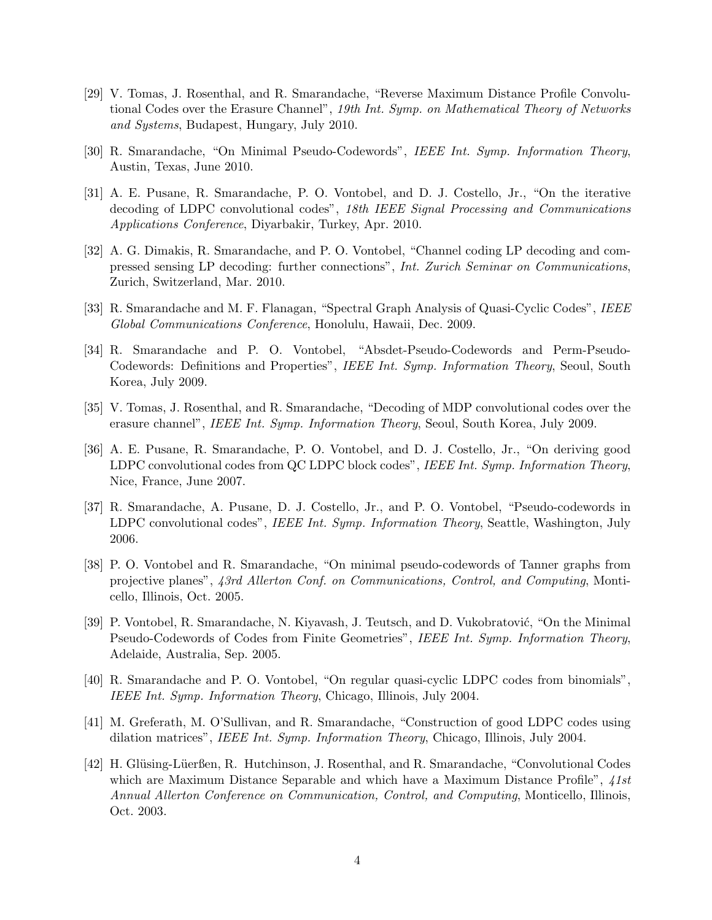- [29] V. Tomas, J. Rosenthal, and R. Smarandache, "Reverse Maximum Distance Profile Convolutional Codes over the Erasure Channel", 19th Int. Symp. on Mathematical Theory of Networks and Systems, Budapest, Hungary, July 2010.
- [30] R. Smarandache, "On Minimal Pseudo-Codewords", IEEE Int. Symp. Information Theory, Austin, Texas, June 2010.
- [31] A. E. Pusane, R. Smarandache, P. O. Vontobel, and D. J. Costello, Jr., "On the iterative decoding of LDPC convolutional codes", 18th IEEE Signal Processing and Communications Applications Conference, Diyarbakir, Turkey, Apr. 2010.
- [32] A. G. Dimakis, R. Smarandache, and P. O. Vontobel, "Channel coding LP decoding and compressed sensing LP decoding: further connections", Int. Zurich Seminar on Communications, Zurich, Switzerland, Mar. 2010.
- [33] R. Smarandache and M. F. Flanagan, "Spectral Graph Analysis of Quasi-Cyclic Codes", IEEE Global Communications Conference, Honolulu, Hawaii, Dec. 2009.
- [34] R. Smarandache and P. O. Vontobel, "Absdet-Pseudo-Codewords and Perm-Pseudo-Codewords: Definitions and Properties", IEEE Int. Symp. Information Theory, Seoul, South Korea, July 2009.
- [35] V. Tomas, J. Rosenthal, and R. Smarandache, "Decoding of MDP convolutional codes over the erasure channel", IEEE Int. Symp. Information Theory, Seoul, South Korea, July 2009.
- [36] A. E. Pusane, R. Smarandache, P. O. Vontobel, and D. J. Costello, Jr., "On deriving good LDPC convolutional codes from QC LDPC block codes", IEEE Int. Symp. Information Theory, Nice, France, June 2007.
- [37] R. Smarandache, A. Pusane, D. J. Costello, Jr., and P. O. Vontobel, "Pseudo-codewords in LDPC convolutional codes", IEEE Int. Symp. Information Theory, Seattle, Washington, July 2006.
- [38] P. O. Vontobel and R. Smarandache, "On minimal pseudo-codewords of Tanner graphs from projective planes", 43rd Allerton Conf. on Communications, Control, and Computing, Monticello, Illinois, Oct. 2005.
- [39] P. Vontobel, R. Smarandache, N. Kiyavash, J. Teutsch, and D. Vukobratović, "On the Minimal" Pseudo-Codewords of Codes from Finite Geometries", IEEE Int. Symp. Information Theory, Adelaide, Australia, Sep. 2005.
- [40] R. Smarandache and P. O. Vontobel, "On regular quasi-cyclic LDPC codes from binomials", IEEE Int. Symp. Information Theory, Chicago, Illinois, July 2004.
- [41] M. Greferath, M. O'Sullivan, and R. Smarandache, "Construction of good LDPC codes using dilation matrices", IEEE Int. Symp. Information Theory, Chicago, Illinois, July 2004.
- [42] H. Glüsing-Lüerßen, R. Hutchinson, J. Rosenthal, and R. Smarandache, "Convolutional Codes" which are Maximum Distance Separable and which have a Maximum Distance Profile",  $41st$ Annual Allerton Conference on Communication, Control, and Computing, Monticello, Illinois, Oct. 2003.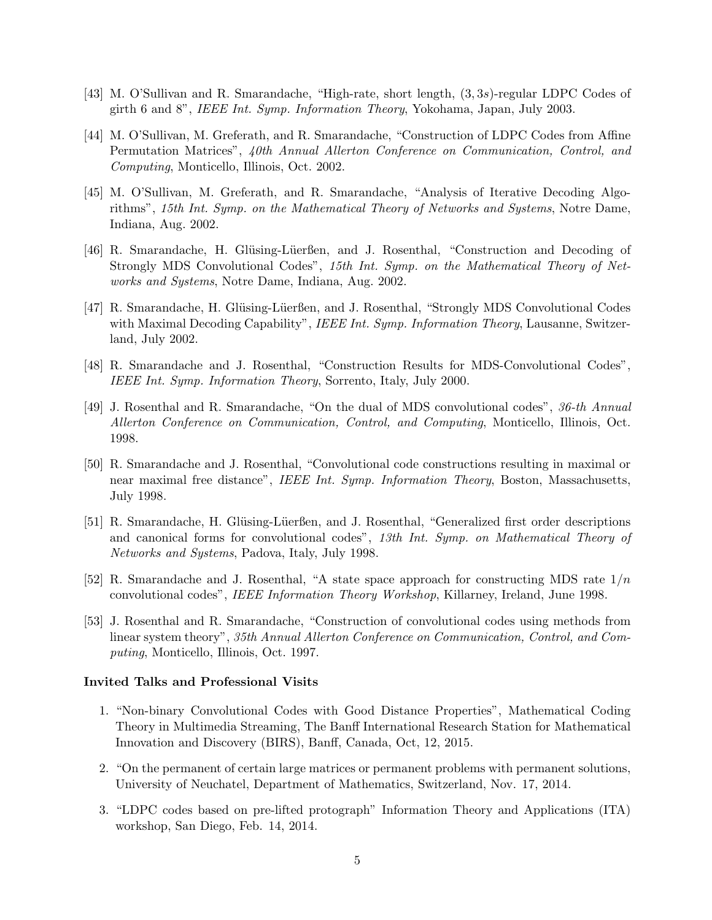- [43] M. O'Sullivan and R. Smarandache, "High-rate, short length, (3, 3s)-regular LDPC Codes of girth 6 and 8", IEEE Int. Symp. Information Theory, Yokohama, Japan, July 2003.
- [44] M. O'Sullivan, M. Greferath, and R. Smarandache, "Construction of LDPC Codes from Affine Permutation Matrices", 40th Annual Allerton Conference on Communication, Control, and Computing, Monticello, Illinois, Oct. 2002.
- [45] M. O'Sullivan, M. Greferath, and R. Smarandache, "Analysis of Iterative Decoding Algorithms", 15th Int. Symp. on the Mathematical Theory of Networks and Systems, Notre Dame, Indiana, Aug. 2002.
- [46] R. Smarandache, H. Glüsing-Lüerßen, and J. Rosenthal, "Construction and Decoding of Strongly MDS Convolutional Codes", 15th Int. Symp. on the Mathematical Theory of Networks and Systems, Notre Dame, Indiana, Aug. 2002.
- [47] R. Smarandache, H. Glüsing-Lüerßen, and J. Rosenthal, "Strongly MDS Convolutional Codes with Maximal Decoding Capability", IEEE Int. Symp. Information Theory, Lausanne, Switzerland, July 2002.
- [48] R. Smarandache and J. Rosenthal, "Construction Results for MDS-Convolutional Codes", IEEE Int. Symp. Information Theory, Sorrento, Italy, July 2000.
- [49] J. Rosenthal and R. Smarandache, "On the dual of MDS convolutional codes", 36-th Annual Allerton Conference on Communication, Control, and Computing, Monticello, Illinois, Oct. 1998.
- [50] R. Smarandache and J. Rosenthal, "Convolutional code constructions resulting in maximal or near maximal free distance", IEEE Int. Symp. Information Theory, Boston, Massachusetts, July 1998.
- [51] R. Smarandache, H. Glüsing-Lüerßen, and J. Rosenthal, "Generalized first order descriptions and canonical forms for convolutional codes", 13th Int. Symp. on Mathematical Theory of Networks and Systems, Padova, Italy, July 1998.
- [52] R. Smarandache and J. Rosenthal, "A state space approach for constructing MDS rate  $1/n$ convolutional codes", IEEE Information Theory Workshop, Killarney, Ireland, June 1998.
- [53] J. Rosenthal and R. Smarandache, "Construction of convolutional codes using methods from linear system theory", 35th Annual Allerton Conference on Communication, Control, and Computing, Monticello, Illinois, Oct. 1997.

#### Invited Talks and Professional Visits

- 1. "Non-binary Convolutional Codes with Good Distance Properties", Mathematical Coding Theory in Multimedia Streaming, The Banff International Research Station for Mathematical Innovation and Discovery (BIRS), Banff, Canada, Oct, 12, 2015.
- 2. "On the permanent of certain large matrices or permanent problems with permanent solutions, University of Neuchatel, Department of Mathematics, Switzerland, Nov. 17, 2014.
- 3. "LDPC codes based on pre-lifted protograph" Information Theory and Applications (ITA) workshop, San Diego, Feb. 14, 2014.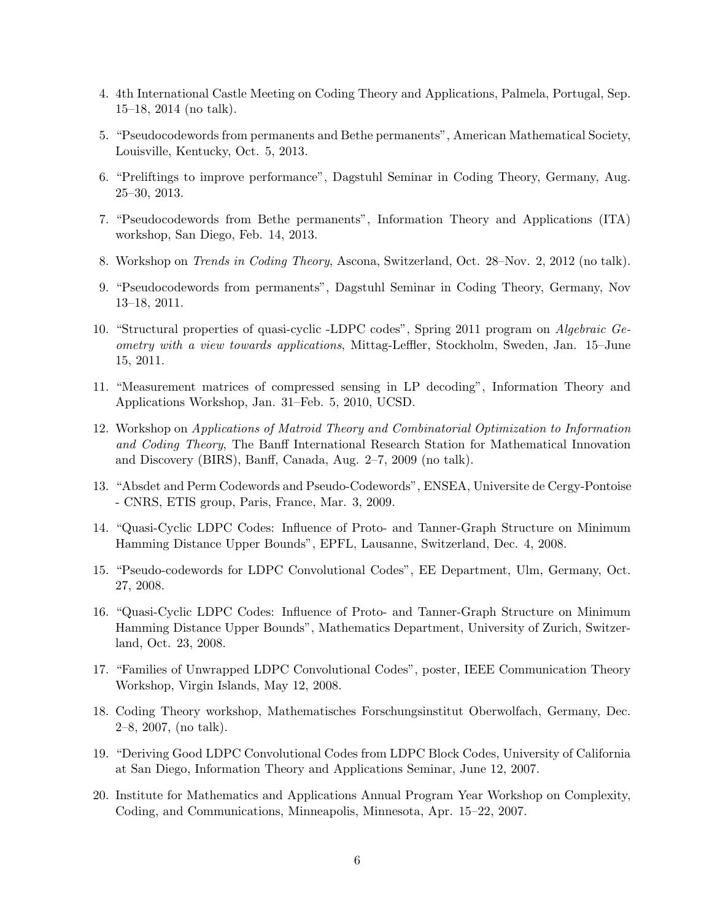- 4. 4th International Castle Meeting on Coding Theory and Applications, Palmela, Portugal, Sep. 15–18, 2014 (no talk).
- 5. "Pseudocodewords from permanents and Bethe permanents", American Mathematical Society, Louisville, Kentucky, Oct. 5, 2013.
- 6. "Preliftings to improve performance", Dagstuhl Seminar in Coding Theory, Germany, Aug. 25–30, 2013.
- 7. "Pseudocodewords from Bethe permanents", Information Theory and Applications (ITA) workshop, San Diego, Feb. 14, 2013.
- 8. Workshop on Trends in Coding Theory, Ascona, Switzerland, Oct. 28–Nov. 2, 2012 (no talk).
- 9. "Pseudocodewords from permanents", Dagstuhl Seminar in Coding Theory, Germany, Nov 13–18, 2011.
- 10. "Structural properties of quasi-cyclic -LDPC codes", Spring 2011 program on Algebraic Geometry with a view towards applications, Mittag-Leffler, Stockholm, Sweden, Jan. 15–June 15, 2011.
- 11. "Measurement matrices of compressed sensing in LP decoding", Information Theory and Applications Workshop, Jan. 31–Feb. 5, 2010, UCSD.
- 12. Workshop on Applications of Matroid Theory and Combinatorial Optimization to Information and Coding Theory, The Banff International Research Station for Mathematical Innovation and Discovery (BIRS), Banff, Canada, Aug. 2–7, 2009 (no talk).
- 13. "Absdet and Perm Codewords and Pseudo-Codewords", ENSEA, Universite de Cergy-Pontoise - CNRS, ETIS group, Paris, France, Mar. 3, 2009.
- 14. "Quasi-Cyclic LDPC Codes: Influence of Proto- and Tanner-Graph Structure on Minimum Hamming Distance Upper Bounds", EPFL, Lausanne, Switzerland, Dec. 4, 2008.
- 15. "Pseudo-codewords for LDPC Convolutional Codes", EE Department, Ulm, Germany, Oct. 27, 2008.
- 16. "Quasi-Cyclic LDPC Codes: Influence of Proto- and Tanner-Graph Structure on Minimum Hamming Distance Upper Bounds", Mathematics Department, University of Zurich, Switzerland, Oct. 23, 2008.
- 17. "Families of Unwrapped LDPC Convolutional Codes", poster, IEEE Communication Theory Workshop, Virgin Islands, May 12, 2008.
- 18. Coding Theory workshop, Mathematisches Forschungsinstitut Oberwolfach, Germany, Dec. 2–8, 2007, (no talk).
- 19. "Deriving Good LDPC Convolutional Codes from LDPC Block Codes, University of California at San Diego, Information Theory and Applications Seminar, June 12, 2007.
- 20. Institute for Mathematics and Applications Annual Program Year Workshop on Complexity, Coding, and Communications, Minneapolis, Minnesota, Apr. 15–22, 2007.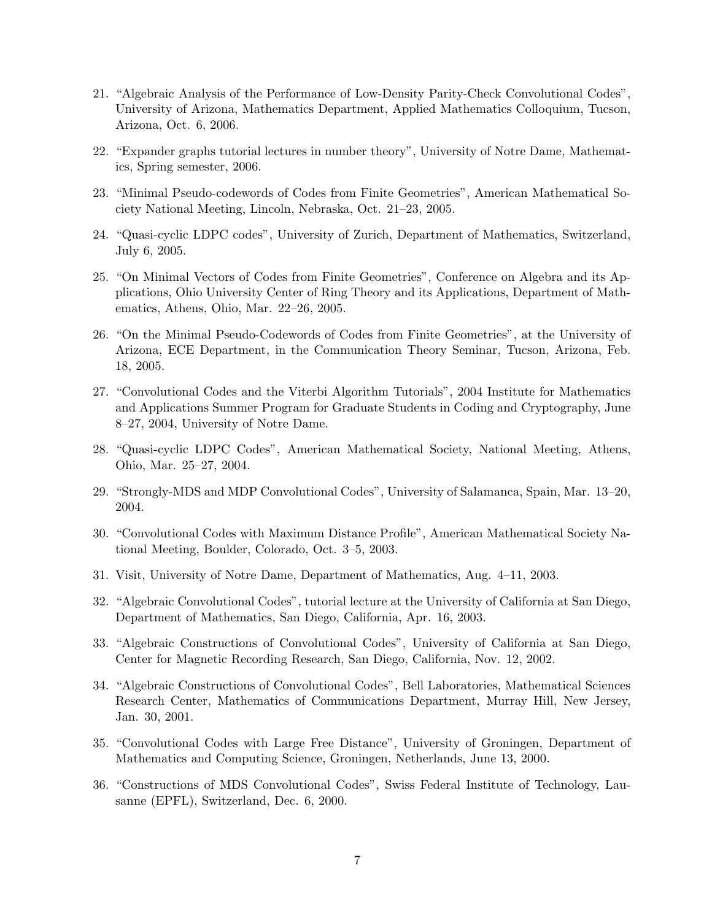- 21. "Algebraic Analysis of the Performance of Low-Density Parity-Check Convolutional Codes", University of Arizona, Mathematics Department, Applied Mathematics Colloquium, Tucson, Arizona, Oct. 6, 2006.
- 22. "Expander graphs tutorial lectures in number theory", University of Notre Dame, Mathematics, Spring semester, 2006.
- 23. "Minimal Pseudo-codewords of Codes from Finite Geometries", American Mathematical Society National Meeting, Lincoln, Nebraska, Oct. 21–23, 2005.
- 24. "Quasi-cyclic LDPC codes", University of Zurich, Department of Mathematics, Switzerland, July 6, 2005.
- 25. "On Minimal Vectors of Codes from Finite Geometries", Conference on Algebra and its Applications, Ohio University Center of Ring Theory and its Applications, Department of Mathematics, Athens, Ohio, Mar. 22–26, 2005.
- 26. "On the Minimal Pseudo-Codewords of Codes from Finite Geometries", at the University of Arizona, ECE Department, in the Communication Theory Seminar, Tucson, Arizona, Feb. 18, 2005.
- 27. "Convolutional Codes and the Viterbi Algorithm Tutorials", 2004 Institute for Mathematics and Applications Summer Program for Graduate Students in Coding and Cryptography, June 8–27, 2004, University of Notre Dame.
- 28. "Quasi-cyclic LDPC Codes", American Mathematical Society, National Meeting, Athens, Ohio, Mar. 25–27, 2004.
- 29. "Strongly-MDS and MDP Convolutional Codes", University of Salamanca, Spain, Mar. 13–20, 2004.
- 30. "Convolutional Codes with Maximum Distance Profile", American Mathematical Society National Meeting, Boulder, Colorado, Oct. 3–5, 2003.
- 31. Visit, University of Notre Dame, Department of Mathematics, Aug. 4–11, 2003.
- 32. "Algebraic Convolutional Codes", tutorial lecture at the University of California at San Diego, Department of Mathematics, San Diego, California, Apr. 16, 2003.
- 33. "Algebraic Constructions of Convolutional Codes", University of California at San Diego, Center for Magnetic Recording Research, San Diego, California, Nov. 12, 2002.
- 34. "Algebraic Constructions of Convolutional Codes", Bell Laboratories, Mathematical Sciences Research Center, Mathematics of Communications Department, Murray Hill, New Jersey, Jan. 30, 2001.
- 35. "Convolutional Codes with Large Free Distance", University of Groningen, Department of Mathematics and Computing Science, Groningen, Netherlands, June 13, 2000.
- 36. "Constructions of MDS Convolutional Codes", Swiss Federal Institute of Technology, Lausanne (EPFL), Switzerland, Dec. 6, 2000.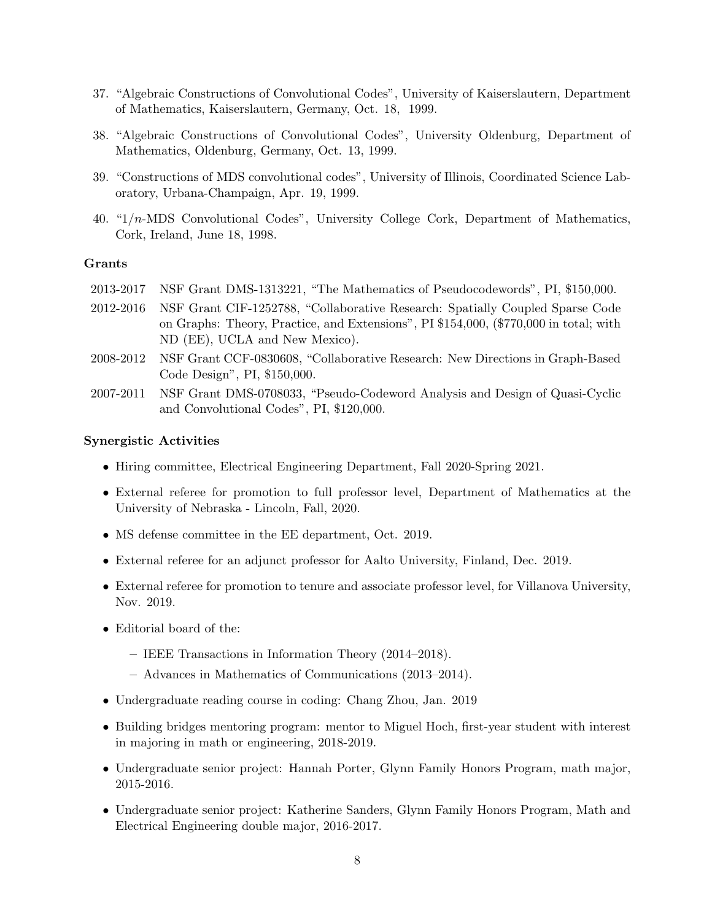- 37. "Algebraic Constructions of Convolutional Codes", University of Kaiserslautern, Department of Mathematics, Kaiserslautern, Germany, Oct. 18, 1999.
- 38. "Algebraic Constructions of Convolutional Codes", University Oldenburg, Department of Mathematics, Oldenburg, Germany, Oct. 13, 1999.
- 39. "Constructions of MDS convolutional codes", University of Illinois, Coordinated Science Laboratory, Urbana-Champaign, Apr. 19, 1999.
- 40. "1/n-MDS Convolutional Codes", University College Cork, Department of Mathematics, Cork, Ireland, June 18, 1998.

## Grants

- 2013-2017 NSF Grant DMS-1313221, "The Mathematics of Pseudocodewords", PI, \$150,000.
- 2012-2016 NSF Grant CIF-1252788, "Collaborative Research: Spatially Coupled Sparse Code on Graphs: Theory, Practice, and Extensions", PI \$154,000, (\$770,000 in total; with ND (EE), UCLA and New Mexico).
- 2008-2012 NSF Grant CCF-0830608, "Collaborative Research: New Directions in Graph-Based Code Design", PI, \$150,000.
- 2007-2011 NSF Grant DMS-0708033, "Pseudo-Codeword Analysis and Design of Quasi-Cyclic and Convolutional Codes", PI, \$120,000.

## Synergistic Activities

- Hiring committee, Electrical Engineering Department, Fall 2020-Spring 2021.
- External referee for promotion to full professor level, Department of Mathematics at the University of Nebraska - Lincoln, Fall, 2020.
- MS defense committee in the EE department, Oct. 2019.
- External referee for an adjunct professor for Aalto University, Finland, Dec. 2019.
- External referee for promotion to tenure and associate professor level, for Villanova University, Nov. 2019.
- Editorial board of the:
	- IEEE Transactions in Information Theory (2014–2018).
	- Advances in Mathematics of Communications (2013–2014).
- Undergraduate reading course in coding: Chang Zhou, Jan. 2019
- Building bridges mentoring program: mentor to Miguel Hoch, first-year student with interest in majoring in math or engineering, 2018-2019.
- Undergraduate senior project: Hannah Porter, Glynn Family Honors Program, math major, 2015-2016.
- Undergraduate senior project: Katherine Sanders, Glynn Family Honors Program, Math and Electrical Engineering double major, 2016-2017.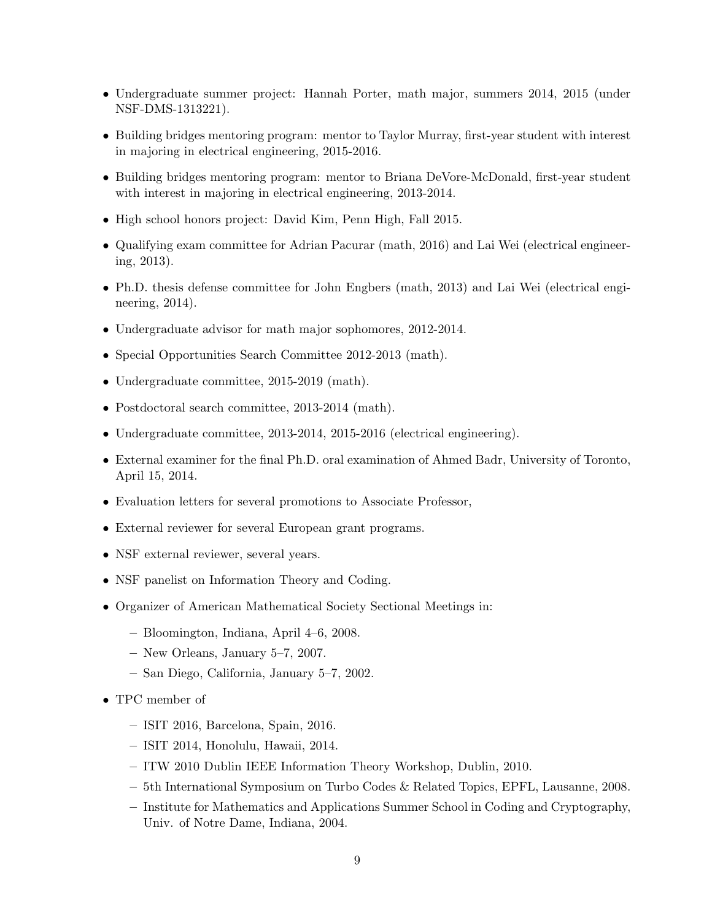- Undergraduate summer project: Hannah Porter, math major, summers 2014, 2015 (under NSF-DMS-1313221).
- Building bridges mentoring program: mentor to Taylor Murray, first-year student with interest in majoring in electrical engineering, 2015-2016.
- Building bridges mentoring program: mentor to Briana DeVore-McDonald, first-year student with interest in majoring in electrical engineering, 2013-2014.
- High school honors project: David Kim, Penn High, Fall 2015.
- Qualifying exam committee for Adrian Pacurar (math, 2016) and Lai Wei (electrical engineering, 2013).
- Ph.D. thesis defense committee for John Engbers (math, 2013) and Lai Wei (electrical engineering, 2014).
- Undergraduate advisor for math major sophomores, 2012-2014.
- Special Opportunities Search Committee 2012-2013 (math).
- Undergraduate committee, 2015-2019 (math).
- Postdoctoral search committee, 2013-2014 (math).
- Undergraduate committee, 2013-2014, 2015-2016 (electrical engineering).
- External examiner for the final Ph.D. oral examination of Ahmed Badr, University of Toronto, April 15, 2014.
- Evaluation letters for several promotions to Associate Professor,
- External reviewer for several European grant programs.
- NSF external reviewer, several years.
- NSF panelist on Information Theory and Coding.
- Organizer of American Mathematical Society Sectional Meetings in:
	- Bloomington, Indiana, April 4–6, 2008.
	- New Orleans, January 5–7, 2007.
	- San Diego, California, January 5–7, 2002.
- TPC member of
	- ISIT 2016, Barcelona, Spain, 2016.
	- ISIT 2014, Honolulu, Hawaii, 2014.
	- ITW 2010 Dublin IEEE Information Theory Workshop, Dublin, 2010.
	- 5th International Symposium on Turbo Codes & Related Topics, EPFL, Lausanne, 2008.
	- Institute for Mathematics and Applications Summer School in Coding and Cryptography, Univ. of Notre Dame, Indiana, 2004.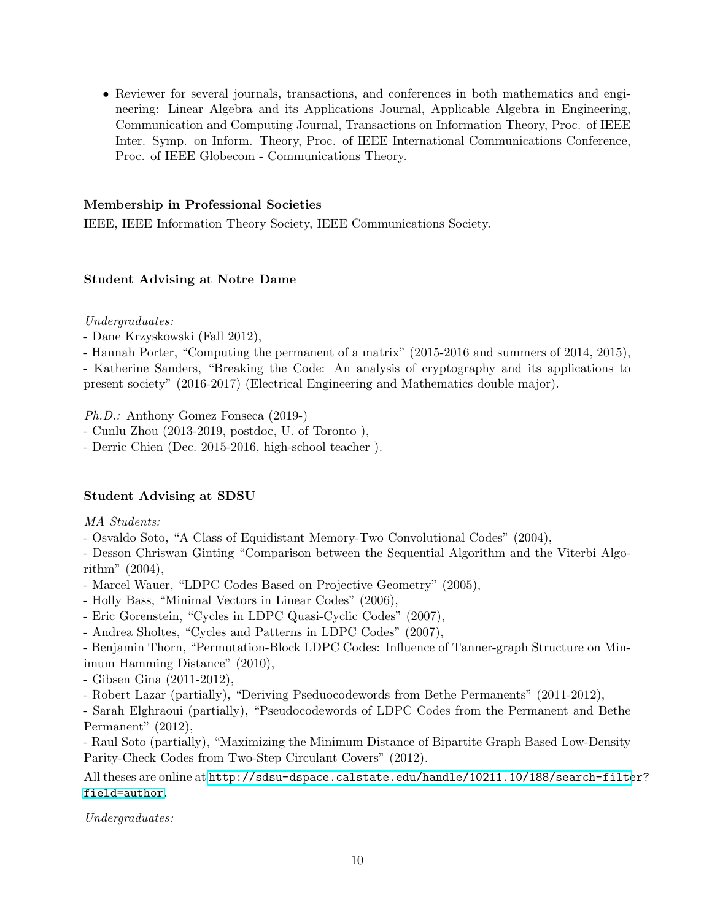• Reviewer for several journals, transactions, and conferences in both mathematics and engineering: Linear Algebra and its Applications Journal, Applicable Algebra in Engineering, Communication and Computing Journal, Transactions on Information Theory, Proc. of IEEE Inter. Symp. on Inform. Theory, Proc. of IEEE International Communications Conference, Proc. of IEEE Globecom - Communications Theory.

# Membership in Professional Societies

IEEE, IEEE Information Theory Society, IEEE Communications Society.

## Student Advising at Notre Dame

Undergraduates:

- Dane Krzyskowski (Fall 2012),

- Hannah Porter, "Computing the permanent of a matrix" (2015-2016 and summers of 2014, 2015),

- Katherine Sanders, "Breaking the Code: An analysis of cryptography and its applications to present society" (2016-2017) (Electrical Engineering and Mathematics double major).

Ph.D.: Anthony Gomez Fonseca (2019-)

- Cunlu Zhou (2013-2019, postdoc, U. of Toronto ),

- Derric Chien (Dec. 2015-2016, high-school teacher ).

# Student Advising at SDSU

MA Students:

- Osvaldo Soto, "A Class of Equidistant Memory-Two Convolutional Codes" (2004),

- Desson Chriswan Ginting "Comparison between the Sequential Algorithm and the Viterbi Algorithm" (2004),

- Marcel Wauer, "LDPC Codes Based on Projective Geometry" (2005),

- Holly Bass, "Minimal Vectors in Linear Codes" (2006),

- Eric Gorenstein, "Cycles in LDPC Quasi-Cyclic Codes" (2007),

- Andrea Sholtes, "Cycles and Patterns in LDPC Codes" (2007),

- Benjamin Thorn, "Permutation-Block LDPC Codes: Influence of Tanner-graph Structure on Minimum Hamming Distance" (2010),

- Gibsen Gina (2011-2012),

- Robert Lazar (partially), "Deriving Pseduocodewords from Bethe Permanents" (2011-2012),

- Sarah Elghraoui (partially), "Pseudocodewords of LDPC Codes from the Permanent and Bethe Permanent" (2012),

- Raul Soto (partially), "Maximizing the Minimum Distance of Bipartite Graph Based Low-Density Parity-Check Codes from Two-Step Circulant Covers" (2012).

All theses are online at [http://sdsu-dspace.calstate.edu/handle/10211.10/188/search-filte](http://sdsu-dspace.calstate.edu/handle/10211.10/188/search-filter?field=author)r? [field=author](http://sdsu-dspace.calstate.edu/handle/10211.10/188/search-filter?field=author).

Undergraduates: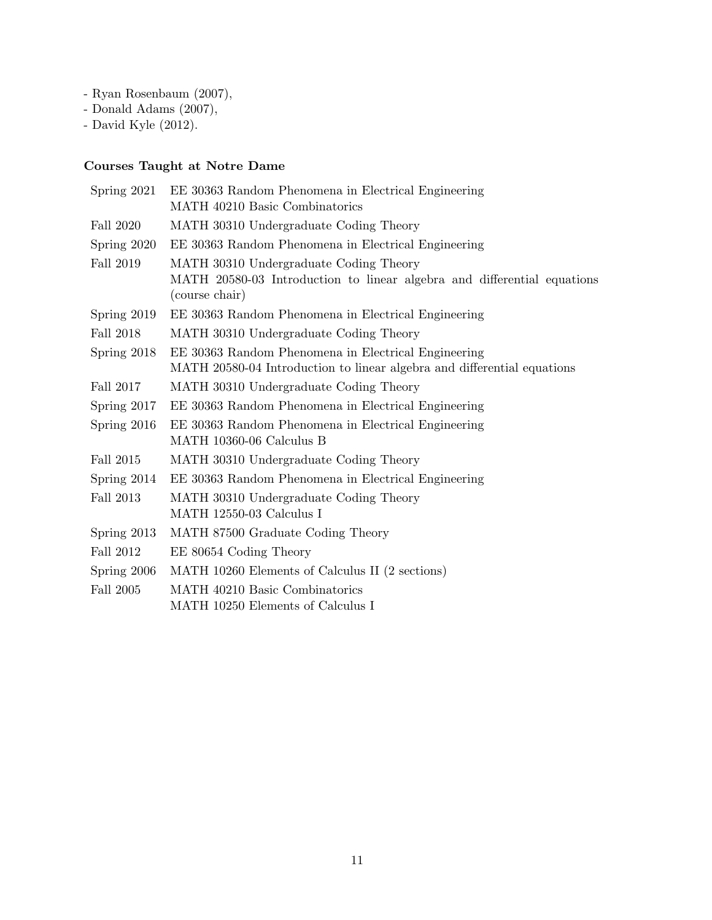- Ryan Rosenbaum (2007),
- Donald Adams (2007),
- David Kyle (2012).

# Courses Taught at Notre Dame

| Spring $2021$ | EE 30363 Random Phenomena in Electrical Engineering<br>MATH 40210 Basic Combinatorics                                               |  |  |
|---------------|-------------------------------------------------------------------------------------------------------------------------------------|--|--|
| Fall 2020     | MATH 30310 Undergraduate Coding Theory                                                                                              |  |  |
| Spring 2020   | EE 30363 Random Phenomena in Electrical Engineering                                                                                 |  |  |
| Fall 2019     | MATH 30310 Undergraduate Coding Theory<br>MATH 20580-03 Introduction to linear algebra and differential equations<br>(course chair) |  |  |
| Spring $2019$ | EE 30363 Random Phenomena in Electrical Engineering                                                                                 |  |  |
| Fall 2018     | MATH 30310 Undergraduate Coding Theory                                                                                              |  |  |
| Spring 2018   | EE 30363 Random Phenomena in Electrical Engineering<br>MATH 20580-04 Introduction to linear algebra and differential equations      |  |  |
| Fall 2017     | MATH 30310 Undergraduate Coding Theory                                                                                              |  |  |
| Spring 2017   | EE 30363 Random Phenomena in Electrical Engineering                                                                                 |  |  |
| Spring 2016   | EE 30363 Random Phenomena in Electrical Engineering<br>MATH 10360-06 Calculus B                                                     |  |  |
| Fall 2015     | MATH 30310 Undergraduate Coding Theory                                                                                              |  |  |
| Spring 2014   | EE 30363 Random Phenomena in Electrical Engineering                                                                                 |  |  |
| Fall 2013     | MATH 30310 Undergraduate Coding Theory<br>MATH 12550-03 Calculus I                                                                  |  |  |
| Spring 2013   | MATH 87500 Graduate Coding Theory                                                                                                   |  |  |
| Fall 2012     | EE 80654 Coding Theory                                                                                                              |  |  |
| Spring 2006   | MATH 10260 Elements of Calculus II (2 sections)                                                                                     |  |  |
| Fall 2005     | MATH 40210 Basic Combinatorics                                                                                                      |  |  |
|               | MATH 10250 Elements of Calculus I                                                                                                   |  |  |